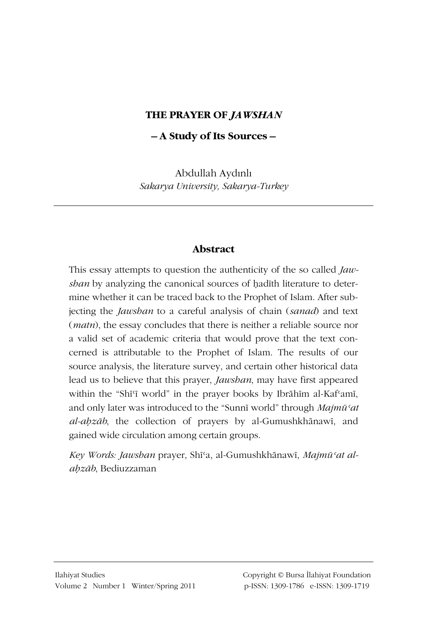## THE PRAYER OF JAWSHAN

- A Study of Its Sources -

Abdullah Aydınlı Sakarya University, Sakarya-Turkey

## **Abstract**

This essay attempts to question the authenticity of the so called *Jaw*shan by analyzing the canonical sources of hadith literature to determine whether it can be traced back to the Prophet of Islam. After subjecting the *Jawshan* to a careful analysis of chain (sanad) and text (*matn*), the essay concludes that there is neither a reliable source nor a valid set of academic criteria that would prove that the text concerned is attributable to the Prophet of Islam. The results of our source analysis, the literature survey, and certain other historical data lead us to believe that this prayer, Jawshan, may have first appeared within the "Shi'i world" in the prayer books by Ibrāhīm al-Kaf'amī, and only later was introduced to the "Sunni world" through Majmū'at al-abzāb, the collection of prayers by al-Gumushkhānawī, and gained wide circulation among certain groups.

Key Words: Jawshan prayer, Shī'a, al-Gumushkhānawī, Majmū'at alahzāb. Bediuzzaman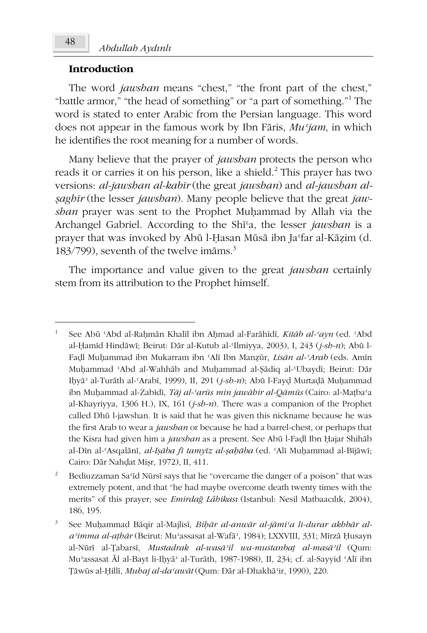### **Introduction**

The word jawshan means "chest," "the front part of the chest," "battle armor," "the head of something" or "a part of something." The word is stated to enter Arabic from the Persian language. This word does not appear in the famous work by Ibn Fāris,  $Mu^c$  jam, in which he identifies the root meaning for a number of words.

Many believe that the prayer of jawshan protects the person who reads it or carries it on his person, like a shield.<sup>2</sup> This prayer has two versions: al-jawshan al-kabīr (the great jawshan) and al-jawshan alsaghir (the lesser jawshan). Many people believe that the great jawshan prayer was sent to the Prophet Muhammad by Allah via the Archangel Gabriel. According to the Shi<sup>t</sup>a, the lesser jawshan is a prayer that was invoked by Abū l-Ḥasan Mūsā ibn Ja'far al-Kāẓim (d.  $183/799$ , seventh of the twelve imams.<sup>3</sup>

The importance and value given to the great jawshan certainly stem from its attribution to the Prophet himself.

See Abū 'Abd al-Raḥmān Khalīl ibn Aḥmad al-Farāhīdī, Kitāb al-'ayn (ed. 'Abd al-Ḥamīd Hindāwī; Beirut: Dār al-Kutub al-Ilmiyya, 2003), I, 243 (j-sh-n); Abū l-Fadl Muhammad ibn Mukarram ibn 'Alī Ibn Manzūr, Lisān al-'Arab (eds. Amīn Muhammad 'Abd al-Wahhāb and Muhammad al-Șādiq al-'Ubaydī; Beirut: Dār Iḥyā' al-Turāth al-'Arabī, 1999), II, 291 (j-sh-n); Abū l-Fayḍ Murtaḍā Muḥammad ibn Muhammad al-Zabīdī, Tāj al-'arūs min jawāhir al-Qāmūs (Cairo: al-Mațba'a al-Khayriyya, 1306 H.), IX, 161 ( $j$ -sh-n). There was a companion of the Prophet called Dhū l-jawshan. It is said that he was given this nickname because he was the first Arab to wear a jawshan or because he had a barrel-chest, or perhaps that the Kisra had given him a jawshan as a present. See Abū l-Fadl Ibn Hajar Shihāb al-Dīn al-'Asqalānī, al-Işāba fī tamyīz al-șabāba (ed. 'Alī Muḥammad al-Bījāwī; Cairo: Dār Nahdat Misr, 1972), II, 411.

 $\overline{2}$ Bediuzzaman Sa'id Nūrsī says that he "overcame the danger of a poison" that was extremely potent, and that "he had maybe overcome death twenty times with the merits" of this prayer; see Emirdağ Lâhikası (Istanbul: Nesil Matbaacılık, 2004), 186, 195.

 $\boldsymbol{\mathfrak{z}}$ See Muhammad Bāqir al-Majlisī, Bibār al-anwār al-jāmi'a li-durar akbbār ala'imma al-athār (Beirut: Mu'assasat al-Wafā', 1984); LXXVIII, 331; Mīrzā Ḥusayn al-Nūrī al-Țabarsī, Mustadrak al-wasā'il wa-mustanbaț al-masā'il (Qum: Mu'assasat Al al-Bayt li-Ihyā' al-Turāth, 1987-1988), II, 234; cf. al-Sayyid 'Alī ibn Țăwūs al-Ḥillī, Mubaj al-da 'awāt (Qum: Dār al-Dhakhā'ir, 1990), 220.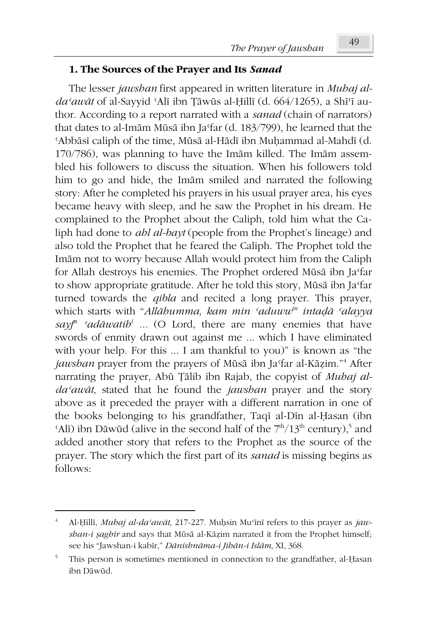## 1. The Sources of the Prayer and Its Sanad

The lesser *jawsban* first appeared in written literature in *Mubaj al*da'awāt of al-Sayyid 'Alī ibn Țāwūs al-Hillī (d. 664/1265), a Shī'ī author. According to a report narrated with a *sanad* (chain of narrators) that dates to al-Imām Mūsā ibn Ja'far (d. 183/799), he learned that the 'Abbāsī caliph of the time, Mūsā al-Hādī ibn Muḥammad al-Mahdī (d. 170/786), was planning to have the Imām killed. The Imām assembled his followers to discuss the situation. When his followers told him to go and hide, the Imam smiled and narrated the following story: After he completed his prayers in his usual prayer area, his eyes became heavy with sleep, and he saw the Prophet in his dream. He complained to the Prophet about the Caliph, told him what the Caliph had done to *abl al-bayt* (people from the Prophet's lineage) and also told the Prophet that he feared the Caliph. The Prophet told the Imam not to worry because Allah would protect him from the Caliph for Allah destroys his enemies. The Prophet ordered Mūsā ibn Ja'far to show appropriate gratitude. After he told this story, Mūsā ibn Ja'far turned towards the *qibla* and recited a long prayer. This prayer, which starts with "Allāhumma, kam min 'aduww<sup>"</sup> intadā 'alayya sayf<sup>"</sup> 'adāwatib<sup>i</sup> ... (O Lord, there are many enemies that have swords of enmity drawn out against me ... which I have eliminated with your help. For this ... I am thankful to you)" is known as "the jawsban prayer from the prayers of Mūsā ibn Ja'far al-Kāzim."<sup>4</sup> After narrating the prayer, Abū Țālib ibn Rajab, the copyist of Muhaj al*da'awāt*, stated that he found the *jawsban* prayer and the story above as it preceded the prayer with a different narration in one of the books belonging to his grandfather, Taqī al-Dīn al-Ḥasan (ibn 'Alī) ibn Dāwūd (alive in the second half of the  $7<sup>th</sup>/13<sup>th</sup>$  century),<sup>5</sup> and added another story that refers to the Prophet as the source of the prayer. The story which the first part of its sanad is missing begins as follows:

Al-Hillī, Muhaj al-da'awāt, 217-227. Muḥsin Mu'īnī refers to this prayer as jawshan-i şaghīr and says that Mūsā al-Kāzim narrated it from the Prophet himself; see his "Jawshan-i kabīr," Dānishnāma-i Jihān-i Islām, XI, 368.

 $\overline{5}$ This person is sometimes mentioned in connection to the grandfather, al-Hasan ibn Dāwūd.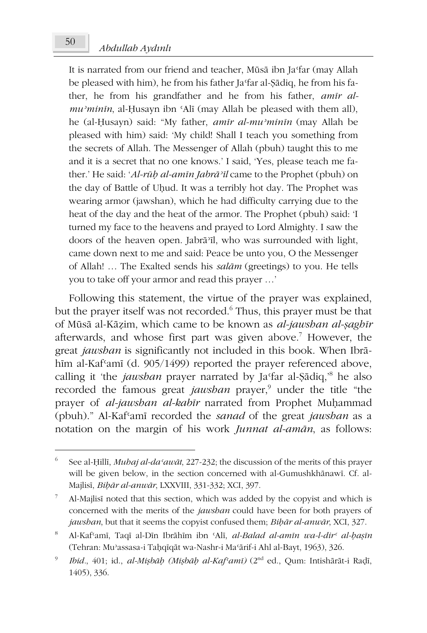It is narrated from our friend and teacher, Mūsā ibn Ja'far (may Allah be pleased with him), he from his father Ja'far al-Şādiq, he from his father, he from his grandfather and he from his father, *amīr al* $mu<sup>3</sup>minin$ , al-Husayn ibn 'Alī (may Allah be pleased with them all), he (al-Husayn) said: "My father, amīr al-mu'minīn (may Allah be pleased with him) said: 'My child! Shall I teach you something from the secrets of Allah. The Messenger of Allah (pbuh) taught this to me and it is a secret that no one knows.' I said, 'Yes, please teach me father.' He said: 'Al-rūb al-amīn Jabrā'īl came to the Prophet (pbuh) on the day of Battle of Uhud. It was a terribly hot day. The Prophet was wearing armor (jawshan), which he had difficulty carrying due to the heat of the day and the heat of the armor. The Prophet (pbuh) said: 'I turned my face to the heavens and prayed to Lord Almighty. I saw the doors of the heaven open. Jabra<sup>2</sup>il, who was surrounded with light, came down next to me and said: Peace be unto you, O the Messenger of Allah! ... The Exalted sends his salām (greetings) to you. He tells you to take off your armor and read this prayer ...'

Following this statement, the virtue of the prayer was explained, but the prayer itself was not recorded.<sup>6</sup> Thus, this prayer must be that of Mūsā al-Kāzim, which came to be known as *al-jawsban al-sagbīr* afterwards, and whose first part was given above.<sup>7</sup> However, the great jawshan is significantly not included in this book. When Ibrahīm al-Kaf'amī (d. 905/1499) reported the prayer referenced above, calling it 'the *jawsban* prayer narrated by Ja'far al-Sādiq,<sup>8</sup> he also recorded the famous great *jawsban* prayer,<sup>9</sup> under the title "the prayer of al-jawshan al-kabīr narrated from Prophet Muhammad (pbuh)." Al-Kaf'ami recorded the sanad of the great jawsban as a notation on the margin of his work *Junnat al-aman*, as follows:

 $\sqrt{6}$ See al-Hilli, Mubaj al-da 'awāt, 227-232; the discussion of the merits of this prayer will be given below, in the section concerned with al-Gumushkhānawī. Cf. al-Majlisī, Bibār al-anwār, LXXVIII, 331-332; XCI, 397.

Al-Mailisi noted that this section, which was added by the copyist and which is concerned with the merits of the jawshan could have been for both prayers of jawshan, but that it seems the copyist confused them; Bihār al-anwār, XCI, 327.

 $\mathbf{s}$ Al-Kaf'amī, Taqī al-Dīn Ibrāhīm ibn 'Alī, al-Balad al-amīn wa-l-dir' al-bașīn (Tehran: Mu'assasa-i Taḥqīqāt wa-Nashr-i Ma'ārif-i Ahl al-Bayt, 1963), 326.

 $\boldsymbol{9}$ Ibid., 401; id., al-Mișbāb (Mișbāb al-Kaf'amī) (2nd ed., Qum: Intishārāt-i Radī, 1405), 336.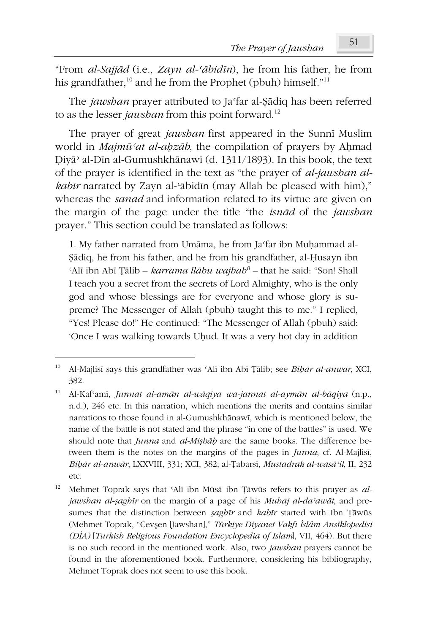"From al-Sajiād (i.e., Zayn al-'ābidīn), he from his father, he from his grandfather,<sup>10</sup> and he from the Prophet (pbuh) himself."<sup>11</sup>

The jawshan prayer attributed to Ja'far al-Sādiq has been referred to as the lesser *jawsban* from this point forward.<sup>12</sup>

The prayer of great *jawsban* first appeared in the Sunni Muslim world in *Majmū'at al-abzāb*, the compilation of prayers by Ahmad Divā' al-Dīn al-Gumushkhānawī (d. 1311/1893). In this book, the text of the prayer is identified in the text as "the prayer of *al-jawsban alkabīr* narrated by Zayn al-*'ābidīn* (may Allah be pleased with him)," whereas the *sanad* and information related to its virtue are given on the margin of the page under the title "the *isnad* of the *jawsban* prayer." This section could be translated as follows:

1. My father narrated from Umāma, he from Ja'far ibn Muhammad al-Şādiq, he from his father, and he from his grandfather, al-Husayn ibn 'Alī ibn Abī Țālib – karrama llābu wajbab<sup>ū</sup> – that he said: "Son! Shall I teach you a secret from the secrets of Lord Almighty, who is the only god and whose blessings are for everyone and whose glory is supreme? The Messenger of Allah (pbuh) taught this to me." I replied, "Yes! Please do!" He continued: "The Messenger of Allah (pbuh) said: 'Once I was walking towards Uhud. It was a very hot day in addition

<sup>10</sup> Al-Majlisī says this grandfather was 'Alī ibn Abī Țālib; see Bihār al-anwār, XCI, 382.

 $11$ Al-Kaf'amī, Junnat al-amān al-wāqiya wa-jannat al-aymān al-bāqiya (n.p., n.d.), 246 etc. In this narration, which mentions the merits and contains similar narrations to those found in al-Gumushkhānawī, which is mentioned below, the name of the battle is not stated and the phrase "in one of the battles" is used. We should note that Junna and al-Misbab are the same books. The difference between them is the notes on the margins of the pages in *Junna*; cf. Al-Majlisi, Bibār al-anwār, LXXVIII, 331; XCI, 382; al-Țabarsī, Mustadrak al-wasā'il, II, 232 etc.

 $12\,$ Mehmet Toprak says that 'Alī ibn Mūsā ibn Țāwūs refers to this prayer as aljawshan al-șaghīr on the margin of a page of his Muhaj al-da'awāt, and presumes that the distinction between *saghir* and *kabir* started with Ibn Țāwūs (Mehmet Toprak, "Cevşen [Jawshan]," Türkiye Diyanet Vakfı İslâm Ansiklopedisi (DIA) [Turkish Religious Foundation Encyclopedia of Islam], VII, 464). But there is no such record in the mentioned work. Also, two jawshan prayers cannot be found in the aforementioned book. Furthermore, considering his bibliography, Mehmet Toprak does not seem to use this book.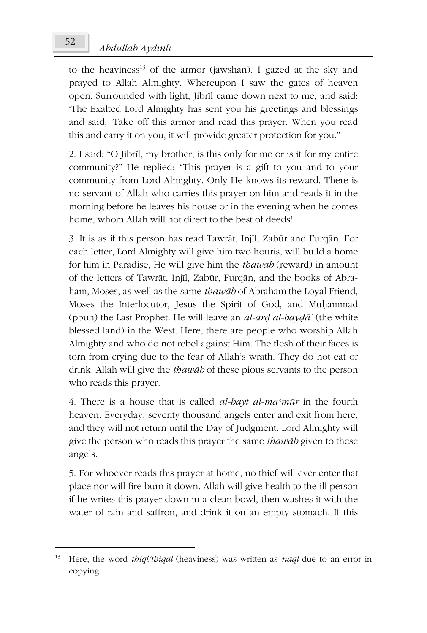to the heaviness<sup>13</sup> of the armor (jawshan). I gazed at the sky and prayed to Allah Almighty. Whereupon I saw the gates of heaven open. Surrounded with light, Jibrīl came down next to me, and said: 'The Exalted Lord Almighty has sent you his greetings and blessings and said, 'Take off this armor and read this prayer. When you read this and carry it on you, it will provide greater protection for you."

2. I said: "O Jibril, my brother, is this only for me or is it for my entire community?" He replied: "This prayer is a gift to you and to your community from Lord Almighty. Only He knows its reward. There is no servant of Allah who carries this prayer on him and reads it in the morning before he leaves his house or in the evening when he comes home, whom Allah will not direct to the best of deeds!

3. It is as if this person has read Tawrāt, Injīl, Zabūr and Furqān. For each letter, Lord Almighty will give him two houris, will build a home for him in Paradise, He will give him the *thawab* (reward) in amount of the letters of Tawrāt, Injīl, Zabūr, Furgān, and the books of Abraham, Moses, as well as the same thawab of Abraham the Loyal Friend, Moses the Interlocutor, Jesus the Spirit of God, and Muhammad (pbuh) the Last Prophet. He will leave an al-ard al-bayda<sup>3</sup> (the white blessed land) in the West. Here, there are people who worship Allah Almighty and who do not rebel against Him. The flesh of their faces is torn from crying due to the fear of Allah's wrath. They do not eat or drink. Allah will give the *thawab* of these pious servants to the person who reads this prayer.

4. There is a house that is called *al-bayt al-ma'mūr* in the fourth heaven. Everyday, seventy thousand angels enter and exit from here, and they will not return until the Day of Judgment. Lord Almighty will give the person who reads this prayer the same thawab given to these angels.

5. For whoever reads this prayer at home, no thief will ever enter that place nor will fire burn it down. Allah will give health to the ill person if he writes this prayer down in a clean bowl, then washes it with the water of rain and saffron, and drink it on an empty stomach. If this

<sup>13</sup> Here, the word *thiql/thiqal* (heaviness) was written as *naql* due to an error in copying.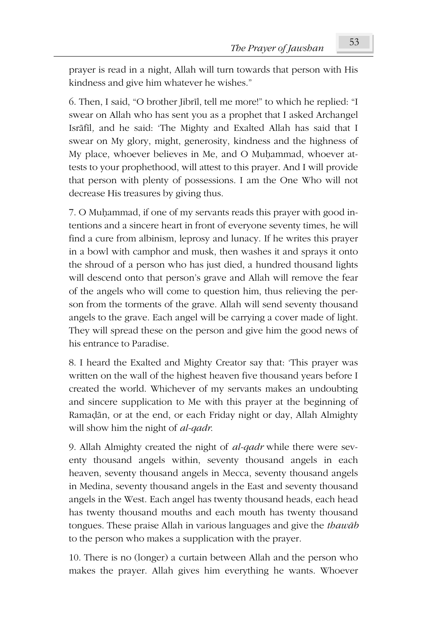prayer is read in a night, Allah will turn towards that person with His kindness and give him whatever he wishes."

6. Then, I said, "O brother Jibril, tell me more!" to which he replied: "I swear on Allah who has sent you as a prophet that I asked Archangel Isrāfīl, and he said: 'The Mighty and Exalted Allah has said that I swear on My glory, might, generosity, kindness and the highness of My place, whoever believes in Me, and O Muhammad, whoever attests to your prophethood, will attest to this prayer. And I will provide that person with plenty of possessions. I am the One Who will not decrease His treasures by giving thus.

7. O Muhammad, if one of my servants reads this prayer with good intentions and a sincere heart in front of everyone seventy times, he will find a cure from albinism, leprosy and lunacy. If he writes this prayer in a bowl with camphor and musk, then washes it and sprays it onto the shroud of a person who has just died, a hundred thousand lights will descend onto that person's grave and Allah will remove the fear of the angels who will come to question him, thus relieving the person from the torments of the grave. Allah will send seventy thousand angels to the grave. Each angel will be carrying a cover made of light. They will spread these on the person and give him the good news of his entrance to Paradise.

8. I heard the Exalted and Mighty Creator say that: This prayer was written on the wall of the highest heaven five thousand years before I created the world. Whichever of my servants makes an undoubting and sincere supplication to Me with this prayer at the beginning of Ramadān, or at the end, or each Friday night or day, Allah Almighty will show him the night of *al-gadr*.

9. Allah Almighty created the night of *al-qadr* while there were seventy thousand angels within, seventy thousand angels in each heaven, seventy thousand angels in Mecca, seventy thousand angels in Medina, seventy thousand angels in the East and seventy thousand angels in the West. Each angel has twenty thousand heads, each head has twenty thousand mouths and each mouth has twenty thousand tongues. These praise Allah in various languages and give the thawab to the person who makes a supplication with the prayer.

10. There is no (longer) a curtain between Allah and the person who makes the prayer. Allah gives him everything he wants. Whoever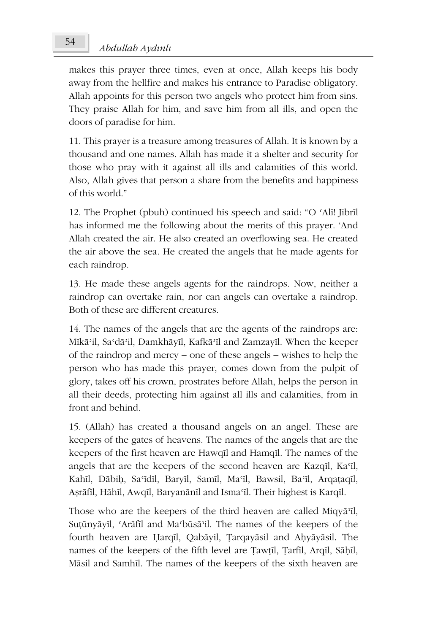makes this prayer three times, even at once, Allah keeps his body away from the hellfire and makes his entrance to Paradise obligatory. Allah appoints for this person two angels who protect him from sins. They praise Allah for him, and save him from all ills, and open the doors of paradise for him.

11. This prayer is a treasure among treasures of Allah. It is known by a thousand and one names. Allah has made it a shelter and security for those who pray with it against all ills and calamities of this world. Also, Allah gives that person a share from the benefits and happiness of this world."

12. The Prophet (pbuh) continued his speech and said: "O 'Ali! Jibril has informed me the following about the merits of this prayer. 'And Allah created the air. He also created an overflowing sea. He created the air above the sea. He created the angels that he made agents for each raindrop.

13. He made these angels agents for the raindrops. Now, neither a raindrop can overtake rain, nor can angels can overtake a raindrop. Both of these are different creatures.

14. The names of the angels that are the agents of the raindrops are: Mīkā'il, Sa'dā'il, Damkhāyīl, Kafkā'īl and Zamzayīl. When the keeper of the raindrop and mercy – one of these angels – wishes to help the person who has made this prayer, comes down from the pulpit of glory, takes off his crown, prostrates before Allah, helps the person in all their deeds, protecting him against all ills and calamities, from in front and behind.

15. (Allah) has created a thousand angels on an angel. These are keepers of the gates of heavens. The names of the angels that are the keepers of the first heaven are Hawqil and Hamqil. The names of the angels that are the keepers of the second heaven are Kazqil, Ka'il, Kahīl, Dābih, Sa'īdīl, Baryīl, Samīl, Ma'īl, Bawsil, Ba'īl, Arqataqīl, Aşrāfīl, Hāhīl, Awqīl, Baryanānīl and Isma<sup>c</sup>īl. Their highest is Karqīl.

Those who are the keepers of the third heaven are called Miqya<sup>3</sup>il, Suțūnyāyīl, 'Arāfīl and Ma'būsā'il. The names of the keepers of the fourth heaven are Harqil, Qabāyil, Tarqayāsil and Ahyāyāsil. The names of the keepers of the fifth level are Tawțil, Tarfil, Arqil, Sāḥīl, Māsil and Samhīl. The names of the keepers of the sixth heaven are

54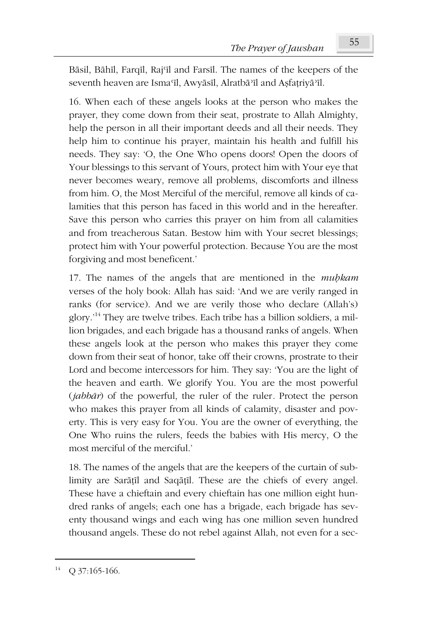Bāsil, Bāhīl, Farqīl, Raj'īl and Farsīl. The names of the keepers of the seventh heaven are Isma<sup>c</sup>il, Awyāsil, Alratbā<sup>3</sup>il and Aşfațriyā<sup>3</sup>il.

16. When each of these angels looks at the person who makes the prayer, they come down from their seat, prostrate to Allah Almighty, help the person in all their important deeds and all their needs. They help him to continue his prayer, maintain his health and fulfill his needs. They say: 'O, the One Who opens doors! Open the doors of Your blessings to this servant of Yours, protect him with Your eye that never becomes weary, remove all problems, discomforts and illness from him. O, the Most Merciful of the merciful, remove all kinds of calamities that this person has faced in this world and in the hereafter. Save this person who carries this prayer on him from all calamities and from treacherous Satan. Bestow him with Your secret blessings; protect him with Your powerful protection. Because You are the most forgiving and most beneficent.'

17. The names of the angels that are mentioned in the mubkam verses of the holy book: Allah has said: 'And we are verily ranged in ranks (for service). And we are verily those who declare (Allah's) glory.<sup>14</sup> They are twelve tribes. Each tribe has a billion soldiers, a million brigades, and each brigade has a thousand ranks of angels. When these angels look at the person who makes this prayer they come down from their seat of honor, take off their crowns, prostrate to their Lord and become intercessors for him. They say: 'You are the light of the heaven and earth. We glorify You. You are the most powerful (jabbar) of the powerful, the ruler of the ruler. Protect the person who makes this prayer from all kinds of calamity, disaster and poverty. This is very easy for You. You are the owner of everything, the One Who ruins the rulers, feeds the babies with His mercy, O the most merciful of the merciful'

18. The names of the angels that are the keepers of the curtain of sublimity are Saratil and Saqatil. These are the chiefs of every angel. These have a chieftain and every chieftain has one million eight hundred ranks of angels; each one has a brigade, each brigade has seventy thousand wings and each wing has one million seven hundred thousand angels. These do not rebel against Allah, not even for a sec-

<sup>14</sup> Q 37:165-166.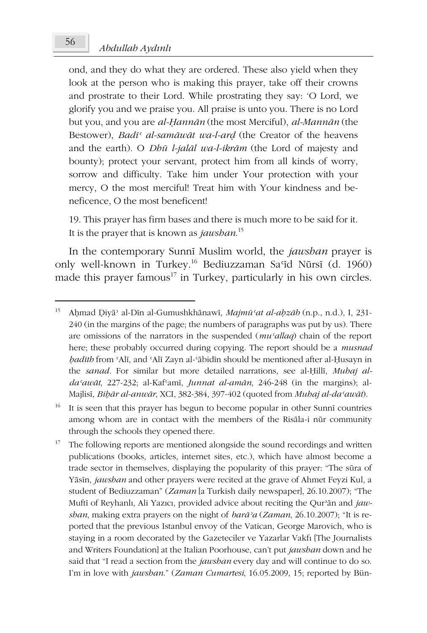ond, and they do what they are ordered. These also yield when they look at the person who is making this prayer, take off their crowns and prostrate to their Lord. While prostrating they say: 'O Lord, we glorify you and we praise you. All praise is unto you. There is no Lord but you, and you are al-Hannān (the most Merciful), al-Mannān (the Bestower), Badī<sup>c</sup> al-samāwāt wa-l-ard (the Creator of the heavens and the earth). O *Dhū l-jalāl wa-l-ikrām* (the Lord of majesty and bounty); protect your servant, protect him from all kinds of worry, sorrow and difficulty. Take him under Your protection with your mercy. O the most merciful! Treat him with Your kindness and beneficence, O the most beneficent!

19. This prayer has firm bases and there is much more to be said for it. It is the prayer that is known as *jawsban*.<sup>15</sup>

In the contemporary Sunni Muslim world, the jawshan prayer is only well-known in Turkey.<sup>16</sup> Bediuzzaman Sa'id Nūrsī (d. 1960) made this prayer famous<sup>17</sup> in Turkey, particularly in his own circles.

 $16\,$ It is seen that this prayer has begun to become popular in other Sunni countries among whom are in contact with the members of the Risala-i nur community through the schools they opened there.

17 The following reports are mentioned alongside the sound recordings and written publications (books, articles, internet sites, etc.), which have almost become a trade sector in themselves, displaying the popularity of this prayer: "The sūra of Yāsīn, jawshan and other prayers were recited at the grave of Ahmet Feyzi Kul, a student of Bediuzzaman" (Zaman [a Turkish daily newspaper], 26.10.2007); "The Muftī of Reyhanlı, Ali Yazıcı, provided advice about reciting the Qur'ān and jawshan, making extra prayers on the night of barā'a (Zaman, 26.10.2007); "It is reported that the previous Istanbul envoy of the Vatican, George Marovich, who is staying in a room decorated by the Gazeteciler ve Yazarlar Vakfı [The Journalists and Writers Foundation] at the Italian Poorhouse, can't put jawshan down and he said that "I read a section from the jawsban every day and will continue to do so. I'm in love with jawshan." (Zaman Cumartesi, 16.05.2009, 15; reported by Bün-

<sup>15</sup> Aḥmad Diyā' al-Dīn al-Gumushkhānawī, Majmū'at al-abzāb (n.p., n.d.), I, 231-240 (in the margins of the page; the numbers of paragraphs was put by us). There are omissions of the narrators in the suspended (mu'allaq) chain of the report here; these probably occurred during copying. The report should be a musnad *badīth* from 'Alī, and 'Alī Zayn al-'ābidīn should be mentioned after al-Husayn in the sanad. For similar but more detailed narrations, see al-Hilli, Muhaj alda'awāt, 227-232; al-Kaf'amī, Junnat al-amān, 246-248 (in the margins); al-Majlisī, Bibār al-anwār, XCI, 382-384, 397-402 (quoted from Mubaj al-da'awāt).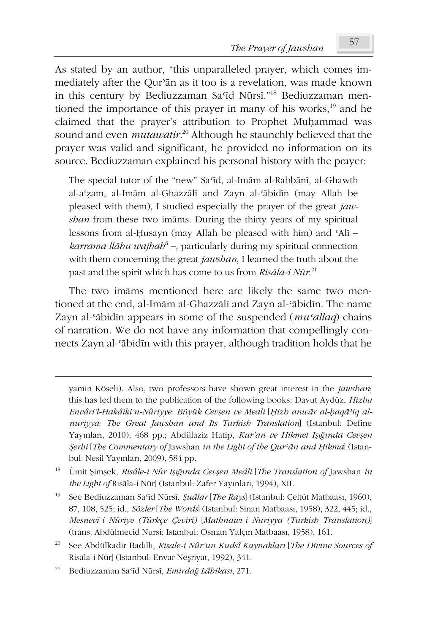As stated by an author, "this unparalleled prayer, which comes immediately after the Qur'ān as it too is a revelation, was made known in this century by Bediuzzaman Sa'id Nūrsī."<sup>18</sup> Bediuzzaman mentioned the importance of this prayer in many of his works,<sup>19</sup> and he claimed that the prayer's attribution to Prophet Muhammad was sound and even *mutawātir*.<sup>20</sup> Although he staunchly believed that the prayer was valid and significant, he provided no information on its source. Bediuzzaman explained his personal history with the prayer:

The special tutor of the "new" Sa'id, al-Imām al-Rabbānī, al-Ghawth al-a'zam, al-Imām al-Ghazzālī and Zayn al-'ābidīn (may Allah be pleased with them), I studied especially the prayer of the great jawshan from these two imams. During the thirty years of my spiritual lessons from al-Husayn (may Allah be pleased with him) and 'Ali *karrama llābu wajbab<sup>ū</sup>* –, particularly during my spiritual connection with them concerning the great *jawsban*, I learned the truth about the past and the spirit which has come to us from Risāla-i Nūr.<sup>21</sup>

The two imams mentioned here are likely the same two mentioned at the end, al-Imām al-Ghazzālī and Zayn al-'ābidīn. The name Zayn al-'ābidīn appears in some of the suspended  $(mu$ 'allag) chains of narration. We do not have any information that compellingly connects Zayn al-'ābidīn with this prayer, although tradition holds that he

yamin Köseli). Also, two professors have shown great interest in the jawshan; this has led them to the publication of the following books: Davut Aydüz, Hizbu Envâri'l-Hakâiki'n-Nûriyye: Büyük Cevşen ve Meali [Hizb anwār al-baqā'iq alnūriyya: The Great Jawshan and Its Turkish Translation (Istanbul: Define Yayınları, 2010), 468 pp.; Abdülaziz Hatip, Kur'an ve Hikmet Işığında Cevşen Şerbi [The Commentary of Jawshan in the Light of the Qur'ān and Hikma] (Istanbul: Nesil Yayınları, 2009), 584 pp.

<sup>18</sup> Ümit Simsek, Risâle-i Nûr Isığında Cevsen Meâli [The Translation of Jawshan in the Light of Risāla-i Nūr] (Istanbul: Zafer Yayınları, 1994), XII.

<sup>19</sup> See Bediuzzaman Sa'id Nūrsī, Şuâlar [The Rays] (Istanbul: Çeltüt Matbaası, 1960), 87, 108, 525; id., Sözler [The Words] (Istanbul: Sinan Matbaası, 1958), 322, 445; id., Mesnevî-i Nûriye (Türkçe Çeviri) [Mathnawī-i Nūriyya (Turkish Translation)] (trans. Abdülmecid Nursi; Istanbul: Osman Yalçın Matbaası, 1958), 161.

<sup>20</sup> See Abdülkadir Badıllı, Risale-i Nûr'un Kudsî Kaynakları [The Divine Sources of Risāla-i Nūr] (Istanbul: Envar Neşriyat, 1992), 341.

Bediuzzaman Sa'id Nūrsī, Emirdağ Lâhikası, 271.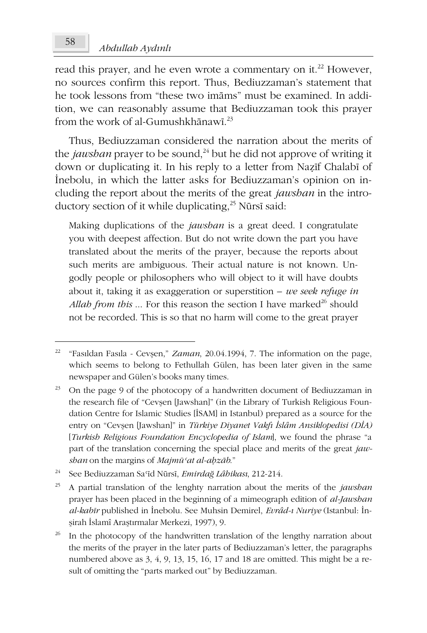read this prayer, and he even wrote a commentary on it.<sup>22</sup> However, no sources confirm this report. Thus, Bediuzzaman's statement that he took lessons from "these two imams" must be examined. In addition, we can reasonably assume that Bediuzzaman took this prayer from the work of al-Gumushkhānawī. $^{23}$ 

Thus, Bediuzzaman considered the narration about the merits of the *jawsban* prayer to be sound,<sup>24</sup> but he did not approve of writing it down or duplicating it. In his reply to a letter from Nazīf Chalabī of İnebolu, in which the latter asks for Bediuzzaman's opinion on including the report about the merits of the great jawsban in the introductory section of it while duplicating,<sup>25</sup> Nūrsī said:

Making duplications of the *jawsban* is a great deed. I congratulate you with deepest affection. But do not write down the part you have translated about the merits of the prayer, because the reports about such merits are ambiguous. Their actual nature is not known. Ungodly people or philosophers who will object to it will have doubts about it, taking it as exaggeration or superstition  $-$  we seek refuge in Allah from this ... For this reason the section I have marked<sup>26</sup> should not be recorded. This is so that no harm will come to the great prayer

<sup>22</sup> "Fasıldan Fasıla - Cevşen," Zaman, 20.04.1994, 7. The information on the page, which seems to belong to Fethullah Gülen, has been later given in the same newspaper and Gülen's books many times.

 $23\,$ On the page 9 of the photocopy of a handwritten document of Bediuzzaman in the research file of "Cevşen [Jawshan]" (in the Library of Turkish Religious Foundation Centre for Islamic Studies [ISAM] in Istanbul) prepared as a source for the entry on "Cevsen [Jawshan]" in Türkiye Diyanet Vakfı İslâm Ansiklopedisi (DİA) [Turkish Religious Foundation Encyclopedia of Islam], we found the phrase "a part of the translation concerning the special place and merits of the great jawshan on the margins of Majmū'at al-abzāb."

<sup>24</sup> See Bediuzzaman Sa'id Nūrsī, Emirdağ Lâhikası, 212-214.

<sup>25</sup> A partial translation of the lenghty narration about the merits of the jawshan prayer has been placed in the beginning of a mimeograph edition of al-Jawshan al-kabīr published in İnebolu. See Muhsin Demirel, Evrâd-ı Nuriye (Istanbul: İnşirah İslamî Araştırmalar Merkezi, 1997), 9.

In the photocopy of the handwritten translation of the lengthy narration about the merits of the prayer in the later parts of Bediuzzaman's letter, the paragraphs numbered above as 3, 4, 9, 13, 15, 16, 17 and 18 are omitted. This might be a result of omitting the "parts marked out" by Bediuzzaman.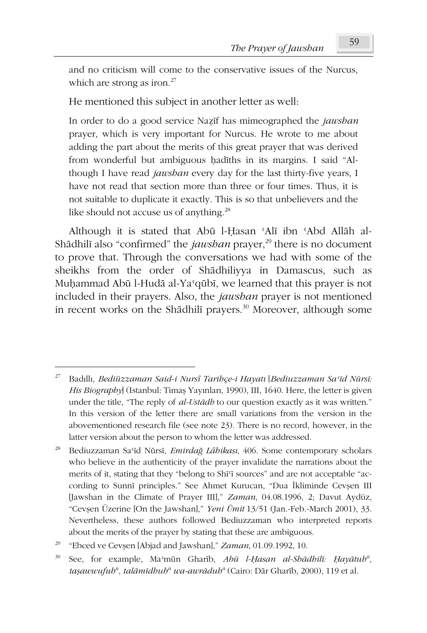and no criticism will come to the conservative issues of the Nurcus, which are strong as iron.<sup>27</sup>

He mentioned this subject in another letter as well:

In order to do a good service Nazif has mimeographed the *jawsban* prayer, which is very important for Nurcus. He wrote to me about adding the part about the merits of this great prayer that was derived from wonderful but ambiguous hadīths in its margins. I said "Although I have read jawshan every day for the last thirty-five years, I have not read that section more than three or four times. Thus, it is not suitable to duplicate it exactly. This is so that unbelievers and the like should not accuse us of anything.<sup>28</sup>

Although it is stated that Abū l-Hasan 'Alī ibn 'Abd Allāh al-Shādhilī also "confirmed" the *jawsban* prayer,<sup>29</sup> there is no document to prove that. Through the conversations we had with some of the sheikhs from the order of Shadhiliyya in Damascus, such as Muhammad Abū l-Hudā al-Ya'qūbī, we learned that this prayer is not included in their prayers. Also, the *jawsban* prayer is not mentioned in recent works on the Shādhilī prayers.<sup>30</sup> Moreover, although some

 $27\,$ Badıllı, Bediüzzaman Said-i Nursî Taribce-i Hayatı [Bediuzzaman Sa'id Nürsi: His Biographyl (Istanbul: Timas Yayınları, 1990), III, 1640. Here, the letter is given under the title, "The reply of al-Ustadb to our question exactly as it was written." In this version of the letter there are small variations from the version in the abovementioned research file (see note 23). There is no record, however, in the latter version about the person to whom the letter was addressed.

 $28\,$ Bediuzzaman Sa'id Nūrsī, *Emirdağ Lâbikası*, 406. Some contemporary scholars who believe in the authenticity of the prayer invalidate the narrations about the merits of it, stating that they "belong to Shi'i sources" and are not acceptable "according to Sunnī principles." See Ahmet Kurucan, "Dua İkliminde Cevşen III [Jawshan in the Climate of Prayer III]," Zaman, 04.08.1996, 2; Davut Aydüz, "Cevsen Üzerine [On the Jawshan]," Yeni Ümit 13/51 (Jan.-Feb.-March 2001), 33. Nevertheless, these authors followed Bediuzzaman who interpreted reports about the merits of the prayer by stating that these are ambiguous.

<sup>&</sup>quot;Ebced ve Cevşen [Abjad and Jawshan]," Zaman, 01.09.1992, 10.

 $30<sup>°</sup>$ See, for example, Ma'mūn Gharīb, Abū l-Hasan al-Shādhilī: Hayātuh<sup>ū</sup>, tașawwufub<sup>a</sup>, talāmīdhub<sup>a</sup> wa-awrādub<sup>a</sup> (Cairo: Dār Gharīb, 2000), 119 et al.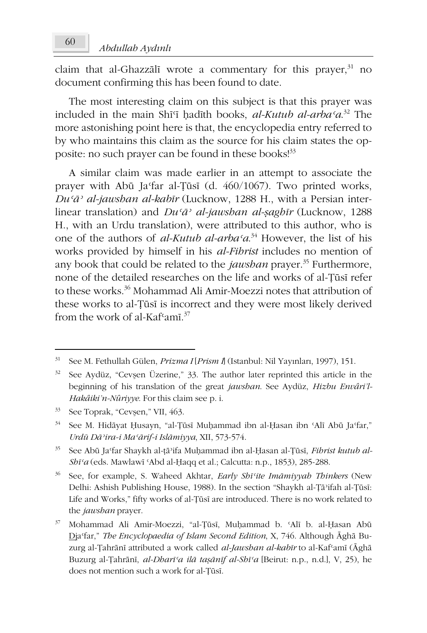claim that al-Ghazzali wrote a commentary for this prayer, $31$  no document confirming this has been found to date.

The most interesting claim on this subject is that this prayer was included in the main Shī'i hadith books, al-Kutub al-arba $a^{32}$  The more astonishing point here is that, the encyclopedia entry referred to by who maintains this claim as the source for his claim states the opposite: no such prayer can be found in these books!<sup>33</sup>

A similar claim was made earlier in an attempt to associate the prayer with Abū Ja'far al-Tūsī (d. 460/1067). Two printed works,  $Du' \bar{a}$ <sup>2</sup> al-jawsban al-kabīr (Lucknow, 1288 H., with a Persian interlinear translation) and  $Du' \bar{a}$ <sup>3</sup> al-jawsban al-sagbīr (Lucknow, 1288) H., with an Urdu translation), were attributed to this author, who is one of the authors of al-Kutub al-arba $a^{34}$  However, the list of his works provided by himself in his *al-Fibrist* includes no mention of any book that could be related to the *jawsban* prayer.<sup>35</sup> Furthermore, none of the detailed researches on the life and works of al-Tūsī refer to these works.<sup>36</sup> Mohammad Ali Amir-Moezzi notes that attribution of these works to al-Tūsī is incorrect and they were most likely derived from the work of al-Kaf'amī.<sup>37</sup>

<sup>31</sup> See M. Fethullah Gülen, Prizma I[Prism I] (Istanbul: Nil Yayınları, 1997), 151.

<sup>32</sup> See Aydüz, "Cevşen Üzerine," 33. The author later reprinted this article in the beginning of his translation of the great jawshan. See Aydüz, Hizbu Envâri'l-Hakâiki'n-Nûriyye. For this claim see p. i.

<sup>33</sup> See Toprak, "Cevşen," VII, 463.

<sup>34</sup> See M. Hidāyat Husayn, "al-Țūsī Muḥammad ibn al-Hasan ibn 'Alī Abū Ja'far," Urdū Dā'ira-i Ma'ārif-i Islāmiyya, XII, 573-574.

<sup>35</sup> See Abū Ja'far Shaykh al-țā'ifa Muhammad ibn al-Ḥasan al-Țūsī, Fihrist kutub al-Shī'a (eds. Mawlawī 'Abd al-Ḥaqq et al.; Calcutta: n.p., 1853), 285-288.

<sup>36</sup> See, for example, S. Waheed Akhtar, Early Shī'ite Imāmiyyah Thinkers (New Delhi: Ashish Publishing House, 1988). In the section "Shaykh al-Țā'ifah al-Țūsī: Life and Works," fifty works of al-Țūsī are introduced. There is no work related to the jawsban prayer.

<sup>37</sup> Mohammad Ali Amir-Moezzi, "al-Țūsī, Muḥammad b. 'Alī b. al-Ḥasan Abū Dia far," The Encyclopaedia of Islam Second Edition, X, 746. Although Aghā Buzurg al-Țahrānī attributed a work called al-Jawshan al-kabīr to al-Kaf'amī (Āghā Buzurg al-Țahrānī, al-Dharī'a ilā tașānīf al-Shī'a [Beirut: n.p., n.d.], V, 25), he does not mention such a work for al-Tūsī.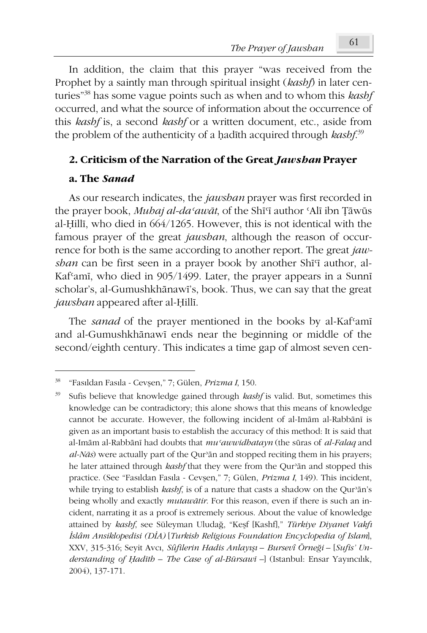The Prayer of Jawshan

In addition, the claim that this prayer "was received from the Prophet by a saintly man through spiritual insight (kashf) in later centuries"<sup>38</sup> has some vague points such as when and to whom this kashf occurred, and what the source of information about the occurrence of this kashf is, a second kashf or a written document, etc., aside from the problem of the authenticity of a hadith acquired through kashf.<sup>39</sup>

# 2. Criticism of the Narration of the Great Jawsban Prayer

## a. The Sanad

As our research indicates, the *jawsban* prayer was first recorded in the prayer book, Mubaj al-da'awāt, of the Shī'i author 'Alī ibn Țăwūs al-Hilli, who died in 664/1265. However, this is not identical with the famous prayer of the great *jawsban*, although the reason of occurrence for both is the same according to another report. The great jawshan can be first seen in a prayer book by another Shi<sup>1</sup> author, al-Kaf'amī, who died in 905/1499. Later, the prayer appears in a Sunnī scholar's, al-Gumushkhānawī's, book. Thus, we can say that the great *jawsban* appeared after al-Hilli.

The *sanad* of the prayer mentioned in the books by al-Kaf'ami and al-Gumushkhānawī ends near the beginning or middle of the second/eighth century. This indicates a time gap of almost seven cen-

<sup>38</sup> "Fasıldan Fasıla - Cevşen," 7; Gülen, Prizma I, 150.

Sufis believe that knowledge gained through kashf is valid. But, sometimes this knowledge can be contradictory; this alone shows that this means of knowledge cannot be accurate. However, the following incident of al-Imām al-Rabbānī is given as an important basis to establish the accuracy of this method: It is said that al-Imām al-Rabbānī had doubts that mu'awwidhatayn (the sūras of al-Falaq and al-Nās) were actually part of the Qur'ān and stopped reciting them in his prayers; he later attained through kashf that they were from the Qur'an and stopped this practice. (See "Fasıldan Fasıla - Cevşen," 7; Gülen, Prizma I, 149). This incident, while trying to establish *kashf*, is of a nature that casts a shadow on the Qur'an's being wholly and exactly *mutawatir*. For this reason, even if there is such an incident, narrating it as a proof is extremely serious. About the value of knowledge attained by kashf, see Süleyman Uludağ, "Keşf [Kashf]," Türkiye Diyanet Vakfı İslâm Ansiklopedisi (DİA) [Turkish Religious Foundation Encyclopedia of Islam], XXV, 315-316; Seyit Avcı, Sûfilerin Hadis Anlayışı - Bursevî Örneği - [Sufis' Understanding of Hadīth - The Case of al-Būrsawī - (Istanbul: Ensar Yayıncılık, 2004), 137-171.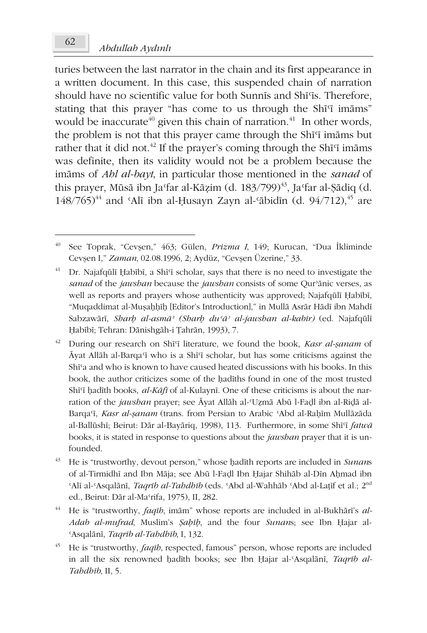turies between the last narrator in the chain and its first appearance in a written document. In this case, this suspended chain of narration should have no scientific value for both Sunnis and Shi'is. Therefore, stating that this prayer "has come to us through the Shi'i imams" would be inaccurate<sup>40</sup> given this chain of narration.<sup>41</sup> In other words, the problem is not that this prayer came through the Shi<sup>T</sup> imams but rather that it did not.<sup>42</sup> If the prayer's coming through the Shī<sup>q</sup> imams was definite, then its validity would not be a problem because the imams of *Abl al-bayt*, in particular those mentioned in the *sanad* of this prayer, Mūsā ibn Ja'far al-Kāzim (d. 183/799)<sup>43</sup>, Ja'far al-Şādiq (d.  $148/765)^{44}$  and 'Ali ibn al-Husayn Zayn al-'ābidīn (d. 94/712),<sup>45</sup> are

62

See Toprak, "Cevşen," 463; Gülen, Prizma I, 149; Kurucan, "Dua İkliminde Cevşen I," Zaman, 02.08.1996, 2; Aydüz, "Cevşen Üzerine," 33.

Dr. Najafqūlī Habībī, a Shī<sup>c</sup>ī scholar, says that there is no need to investigate the sanad of the jawshan because the jawshan consists of some Qur'anic verses, as well as reports and prayers whose authenticity was approved; Najafqūlī Ḥabībī, "Muqaddimat al-Mușaḥḥīḥ [Editor's Introduction]," in Mullā Asrār Hādī ibn Mahdī Sabzawārī, Sharh al-asmā<sup>,</sup> (Sharh du'ā<sup>,</sup> al-jawshan al-kabīr) (ed. Najafqūlī Ḥabībī; Tehran: Dānishgāh-i Țahrān, 1993), 7.

 $42-$ During our research on Shi<sup>c</sup>i literature, we found the book, Kasr al-sanam of Āvat Allāh al-Barga<sup>c</sup>i who is a Shī<sup>c</sup>i scholar, but has some criticisms against the Shīsa and who is known to have caused heated discussions with his books. In this book, the author criticizes some of the hadiths found in one of the most trusted Shī'ī hadīth books, al-Kāfī of al-Kulaynī. One of these criticisms is about the narration of the jawshan prayer; see Ayat Allāh al-Uzmā Abū l-Fadl ibn al-Ridā al-Barqa'i, Kasr al-şanam (trans. from Persian to Arabic 'Abd al-Raḥīm Mullāzāda al-Ballūshī; Beirut: Dār al-Bayāriq, 1998), 113. Furthermore, in some Shī'ī fatwā books, it is stated in response to questions about the *jawsban* prayer that it is unfounded.

<sup>43</sup> He is "trustworthy, devout person," whose hadith reports are included in Sunans of al-Tirmidhī and Ibn Māja; see Abū l-Fadl Ibn Hajar Shihāb al-Dīn Ahmad ibn 'Alī al-'Asqalānī, Taqrīb al-Tahdhīb (eds. 'Abd al-Wahhāb 'Abd al-Latīf et al.; 2<sup>nd</sup> ed., Beirut: Dār al-Ma'rifa, 1975), II, 282.

 $44-$ He is "trustworthy, *faqib*, imam" whose reports are included in al-Bukhari's al-Adab al-mufrad, Muslim's Sahīh, and the four Sunans; see Ibn Hajar al-'Asqalānī, Taqrīb al-Tahdhīb, I, 132.

He is "trustworthy, faqib, respected, famous" person, whose reports are included in all the six renowned hadith books; see Ibn Hajar al-'Asqalani, Taqrib al-Tahdhīb, II, 5.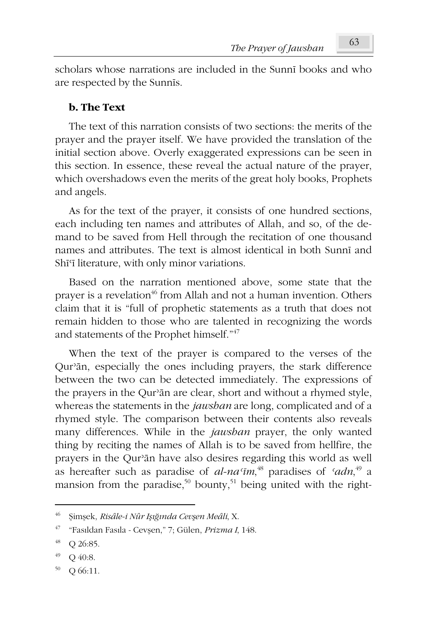scholars whose narrations are included in the Sunni books and who are respected by the Sunnis.

# **b.** The Text

The text of this narration consists of two sections: the merits of the prayer and the prayer itself. We have provided the translation of the initial section above. Overly exaggerated expressions can be seen in this section. In essence, these reveal the actual nature of the prayer, which overshadows even the merits of the great holy books, Prophets and angels.

As for the text of the prayer, it consists of one hundred sections, each including ten names and attributes of Allah, and so, of the demand to be saved from Hell through the recitation of one thousand names and attributes. The text is almost identical in both Sunni and Shī'ī literature, with only minor variations.

Based on the narration mentioned above, some state that the prayer is a revelation<sup>46</sup> from Allah and not a human invention. Others claim that it is "full of prophetic statements as a truth that does not remain hidden to those who are talented in recognizing the words and statements of the Prophet himself."47

When the text of the prayer is compared to the verses of the Qur'an, especially the ones including prayers, the stark difference between the two can be detected immediately. The expressions of the prayers in the Our'an are clear, short and without a rhymed style, whereas the statements in the *jawsban* are long, complicated and of a rhymed style. The comparison between their contents also reveals many differences. While in the jawsban prayer, the only wanted thing by reciting the names of Allah is to be saved from hellfire, the prayers in the Qur'an have also desires regarding this world as well as hereafter such as paradise of  $al-na<sup>48</sup>$  paradises of  $adn<sup>49</sup>$  a mansion from the paradise,<sup>50</sup> bounty,<sup>51</sup> being united with the right-

<sup>46</sup> Simsek, Risâle-i Nûr Işığında Cevşen Meâli, X.

<sup>47</sup> "Fasıldan Fasıla - Cevşen," 7; Gülen, Prizma I, 148.

<sup>48</sup> Q 26:85.

<sup>49</sup> Q 40:8.

<sup>50</sup> Q 66:11.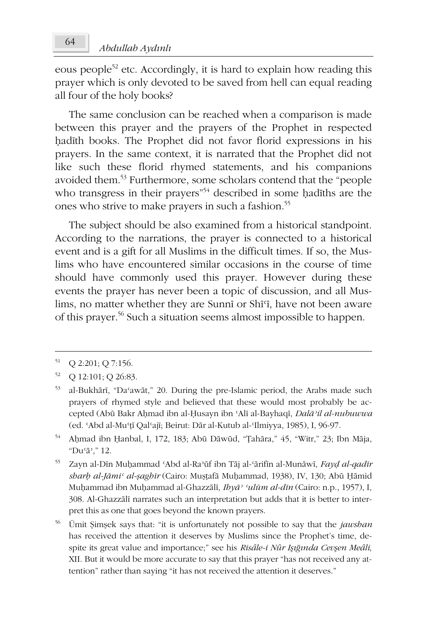eous people<sup>52</sup> etc. Accordingly, it is hard to explain how reading this prayer which is only devoted to be saved from hell can equal reading all four of the holy books?

The same conclusion can be reached when a comparison is made between this prayer and the prayers of the Prophet in respected hadīth books. The Prophet did not favor florid expressions in his prayers. In the same context, it is narrated that the Prophet did not like such these florid rhymed statements, and his companions avoided them.<sup>53</sup> Furthermore, some scholars contend that the "people who transgress in their prayers<sup>"54</sup> described in some hadiths are the ones who strive to make prayers in such a fashion.<sup>55</sup>

The subject should be also examined from a historical standpoint. According to the narrations, the prayer is connected to a historical event and is a gift for all Muslims in the difficult times. If so, the Muslims who have encountered similar occasions in the course of time should have commonly used this prayer. However during these events the prayer has never been a topic of discussion, and all Muslims, no matter whether they are Sunni or Shi'i, have not been aware of this prayer.<sup>56</sup> Such a situation seems almost impossible to happen.

<sup>51</sup> Q 2:201; Q 7:156.

<sup>52</sup> Q 12:101; Q 26:83.

<sup>53</sup> al-Bukhārī, "Da'awāt," 20. During the pre-Islamic period, the Arabs made such prayers of rhymed style and believed that these would most probably be accepted (Abū Bakr Aḥmad ibn al-Ḥusayn ibn 'Alī al-Bayhaqī, Dalā'il al-nubuwwa (ed. 'Abd al-Mu'țī Qal'ajī; Beirut: Dār al-Kutub al-'Ilmiyya, 1985), I, 96-97.

<sup>54</sup> Ahmad ibn Ḥanbal, I, 172, 183; Abū Dāwūd, "Țahāra," 45, "Witr," 23; Ibn Māja, "Du'ā'," 12.

<sup>55</sup> Zayn al-Dīn Muḥammad 'Abd al-Ra'ūf ibn Tāj al-'ārifīn al-Munāwī, Fayd al-qadīr sharb al-Jāmi<sup>c</sup> al-șaghīr (Cairo: Mușțafă Muhammad, 1938), IV, 130; Abū Ḥāmid Muḥammad ibn Muḥammad al-Ghazzālī, Ihyā<sup>, c</sup>ulūm al-dīn (Cairo: n.p., 1957), I, 308. Al-Ghazzālī narrates such an interpretation but adds that it is better to interpret this as one that goes beyond the known prayers.

<sup>56</sup> Umit Simsek says that: "it is unfortunately not possible to say that the jawshan has received the attention it deserves by Muslims since the Prophet's time, despite its great value and importance;" see his Risâle-i Nûr Işığında Cevşen Meâli, XII. But it would be more accurate to say that this prayer "has not received any attention" rather than saying "it has not received the attention it deserves."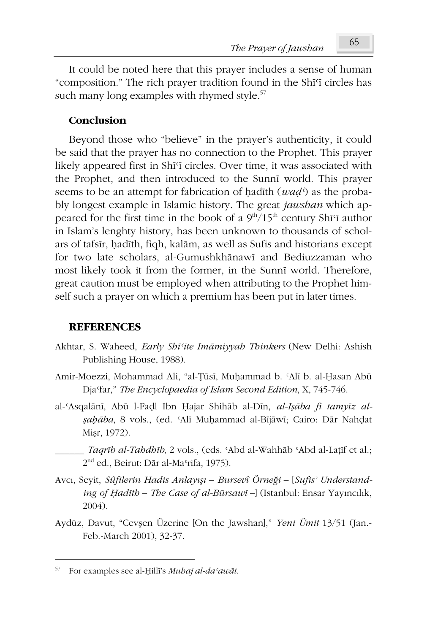It could be noted here that this prayer includes a sense of human "composition." The rich prayer tradition found in the Shi<sup>T</sup> circles has such many long examples with rhymed style.<sup>57</sup>

### Conclusion

Beyond those who "believe" in the prayer's authenticity, it could be said that the prayer has no connection to the Prophet. This prayer likely appeared first in Shī<sup>c</sup>i circles. Over time, it was associated with the Prophet, and then introduced to the Sunni world. This prayer seems to be an attempt for fabrication of hadith  $(wad)$  as the probably longest example in Islamic history. The great *jawsban* which appeared for the first time in the book of a  $9<sup>th</sup>/15<sup>th</sup>$  century Sh<sub>15</sub> author in Islam's lenghty history, has been unknown to thousands of scholars of tafsīr, hadīth, figh, kalām, as well as Sufis and historians except for two late scholars, al-Gumushkhānawī and Bediuzzaman who most likely took it from the former, in the Sunni world. Therefore, great caution must be employed when attributing to the Prophet himself such a prayer on which a premium has been put in later times.

### **REFERENCES**

- Akhtar, S. Waheed, *Early Shi<sup>c</sup>ite Imāmiyyah Thinkers* (New Delhi: Ashish Publishing House, 1988).
- Amir-Moezzi, Mohammad Ali, "al-Țūsī, Muḥammad b. 'Alī b. al-Ḥasan Abū Dia far," The Encyclopaedia of Islam Second Edition, X, 745-746.
- al-'Asqalānī, Abū l-Fadl Ibn Ḥajar Shihāb al-Dīn, al-Ișāba fī tamyīz alsabāba, 8 vols., (ed. 'Alī Muhammad al-Bījāwī; Cairo: Dār Nahdat Misr, 1972).
	- Taqrīb al-Tahdhīb, 2 vols., (eds. 'Abd al-Wahhāb 'Abd al-Laṭīf et al.; 2<sup>nd</sup> ed., Beirut: Dār al-Ma<sup>c</sup>rifa, 1975).
- Avcı, Seyit, Sûfilerin Hadis Anlayışı Bursevî Örneği [Sufis' Understanding of Hadīth - The Case of al-Būrsawī - (Istanbul: Ensar Yayıncılık, 2004).
- Aydüz, Davut, "Cevsen Üzerine [On the Jawshan]," Yeni Ümit 13/51 (Jan.-Feb.-March 2001), 32-37.

For examples see al-Hilli's Mubaj al-da'awāt.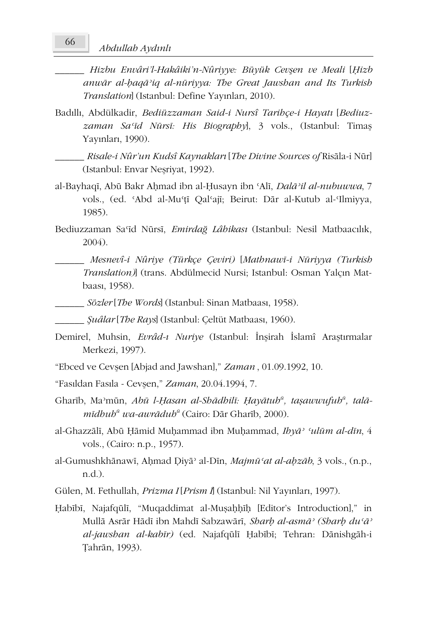- Hizbu Envâri'l-Hakâiki'n-Nûriyye: Büyük Cevşen ve Meali [Hizb anwār al-bagā'ig al-nūriyya: The Great Jawshan and Its Turkish Translation] (Istanbul: Define Yayınları, 2010).
- Badıllı. Abdülkadir. Bediüzzaman Said-i Nursî Tarihce-i Havatı [Bediuzzaman Sa'īd Nūrsī: His Biography], 3 vols., (Istanbul: Timas Yayınları, 1990).
	- \_ Risale-i Nûr'un Kudsî Kaynakları [The Divine Sources of Risāla-i Nūr] (Istanbul: Envar Neşriyat, 1992).
- al-Bayhaqi, Abū Bakr Ahmad ibn al-Husayn ibn 'Ali, Dalā'il al-nubuwwa, 7 vols., (ed. 'Abd al-Mu'tī Qal'ajī; Beirut: Dār al-Kutub al-'Ilmiyya,  $1985$ ).
- Bediuzzaman Sa'id Nūrsī, Emirdağ Lâhikası (Istanbul: Nesil Matbaacılık,  $2004$ ).
	- \_ Mesnevî-i Nûriye (Türkçe Çeviri) [Mathnawī-i Nūriyya (Turkish Translation)] (trans. Abdülmecid Nursi; Istanbul: Osman Yalçın Matbaasi, 1958).
- Sözler [The Words] (Istanbul: Sinan Matbaası, 1958).
- *Suâlar* [*The Rays*] (Istanbul: Celtüt Matbaası, 1960).
- Demirel, Muhsin, Evrâd-ı Nuriye (Istanbul: İnşirah İslamî Araştırmalar Merkezi, 1997).
- "Ebced ve Cevsen [Abjad and Jawshan]," Zaman, 01.09.1992, 10.
- "Fasıldan Fasıla Cevşen," Zaman, 20.04.1994, 7.
- Gharib, Ma'mūn, Abū l-Hasan al-Shādhilī: Hayātuh<sup>a</sup>, tasawwufuh<sup>a</sup>, talā $midbub$ <sup> $\bar{u}$ </sup> wa-awrādu $b^{\bar{u}}$  (Cairo: Dār Gharīb, 2000).
- al-Ghazzālī, Abū Ḥāmid Muḥammad ibn Muḥammad, Ibyā<sup>, c</sup>ulūm al-dīn, 4 vols., (Cairo: n.p., 1957).
- al-Gumushkhānawī, Aḥmad Diyā' al-Dīn, Majmū'at al-aḥzāb, 3 vols., (n.p.,  $n.d.$ ).
- Gülen, M. Fethullah, *Prizma I* [*Prism I*] (Istanbul: Nil Yayınları, 1997).
- Habībī, Najafqūlī, "Muqaddimat al-Muşahhīh [Editor's Introduction]," in Mullā Asrār Hādī ibn Mahdī Sabzawārī, Sharh al-asmā<sup>,</sup> (Sharh du'ā<sup>,</sup> al-jawshan al-kabīr) (ed. Najafqūlī Ḥabībī; Tehran: Dānishgāh-i Tahrān, 1993).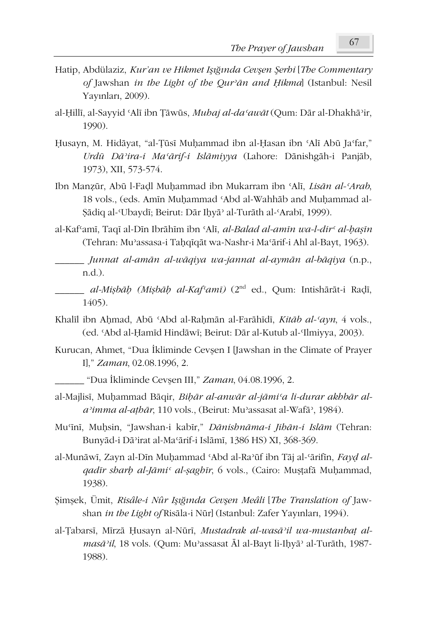- Hatip, Abdülaziz, Kur'an ve Hikmet Isığında Cevsen Serbi [The Commentary of Jawshan in the Light of the Qur'ān and Hikma] (Istanbul: Nesil Yayınları, 2009).
- al-Hillī, al-Savvid 'Alī ibn Tāwūs, Mubai al-da'awāt (Oum: Dār al-Dhakhā'ir,  $1990$
- Husayn, M. Hidāyat, "al-Țūsī Muhammad ibn al-Ḥasan ibn 'Alī Abū Ja'far," Urdū Dā'ira-i Ma'ārif-i Islāmiyya (Lahore: Dānishgāh-i Panjāb, 1973), XII, 573-574.
- Ibn Manzūr, Abū l-Fadl Muhammad ibn Mukarram ibn 'Alī, Lisān al-'Arab, 18 vols., (eds. Amin Muhammad 'Abd al-Wahhāb and Muhammad al-Sādiq al-Ubaydī; Beirut: Dār Ihyā<sup>,</sup> al-Turāth al-Arabī, 1999).
- al-Kaf'amī, Taqī al-Dīn Ibrāhīm ibn 'Alī, *al-Balad al-amīn wa-l-dir' al-basīn* (Tehran: Mu'assasa-i Taḥqīqāt wa-Nashr-i Ma'ārif-i Ahl al-Bayt, 1963).
	- Junnat al-amān al-wāqiya wa-jannat al-aymān al-bāqiya (n.p., n.d.).
		- *al-Misbāb (Misbāb al-Kaf<sup>c</sup>amī)* (2<sup>nd</sup> ed., Qum: Intishārāt-i Radī, 1405).
- Khalīl ibn Ahmad, Abū 'Abd al-Rahmān al-Farāhīdī, Kitāb al-'ayn, 4 vols., (ed. 'Abd al-Hamīd Hindāwī; Beirut: Dār al-Kutub al-'Ilmiyya, 2003).
- Kurucan, Ahmet, "Dua İkliminde Cevşen I [Jawshan in the Climate of Prayer I]," Zaman, 02.08.1996, 2.

"Dua İkliminde Cevsen III," Zaman, 04.08.1996, 2.

- al-Majlisī, Muhammad Bāqir, Bibār al-anwār al-jāmi'a li-durar akbbār ala'imma al-athār, 110 vols., (Beirut: Mu'assasat al-Wafā', 1984).
- Mu<sup>c</sup>īnī, Muḥsin, "Jawshan-i kabīr," Dānishnāma-i Jihān-i Islām (Tehran: Bunyād-i Dā<sup>2</sup>irat al-Ma<sup>c</sup>ārif-i Islāmī, 1386 HS) XI, 368-369.
- al-Munāwī, Zayn al-Dīn Muhammad 'Abd al-Ra'ūf ibn Tāj al-'ārifīn, Fayd alqadīr sharb al-Jāmi<sup>c</sup> al-șaghīr, 6 vols., (Cairo: Mușțafă Muhammad, 1938).
- Simsek, Ümit, Risâle-i Nûr Işığında Cevsen Meâli [The Translation of Jawshan in the Light of Risala-i Nūr] (Istanbul: Zafer Yayınları, 1994).
- al-Țabarsī, Mīrzā Ḥusayn al-Nūrī, Mustadrak al-wasā'il wa-mustanbaț almasā'il, 18 vols. (Qum: Mu'assasat Āl al-Bayt li-Ihyā' al-Turāth, 1987-1988).